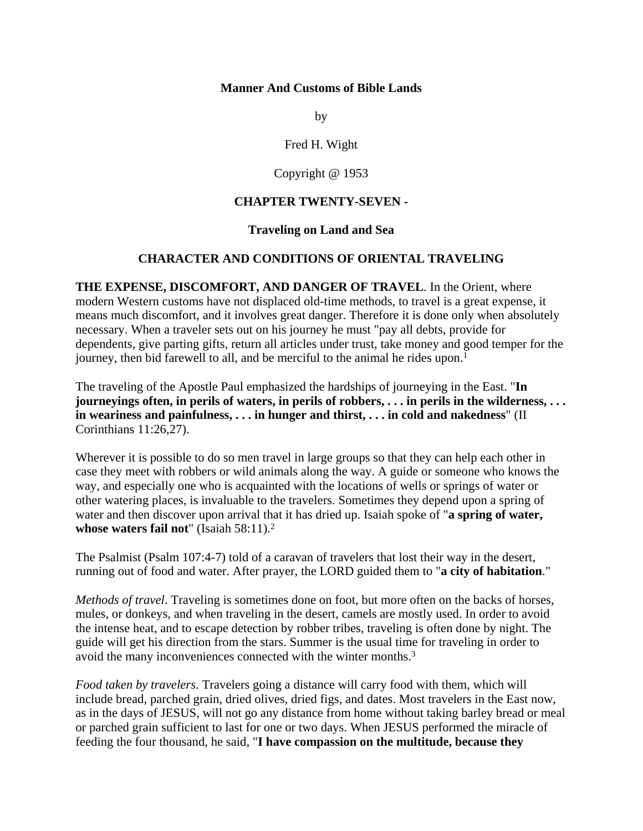#### **Manner And Customs of Bible Lands**

by

Fred H. Wight

Copyright @ 1953

### **CHAPTER TWENTY-SEVEN -**

#### **Traveling on Land and Sea**

#### **CHARACTER AND CONDITIONS OF ORIENTAL TRAVELING**

**THE EXPENSE, DISCOMFORT, AND DANGER OF TRAVEL**. In the Orient, where modern Western customs have not displaced old-time methods, to travel is a great expense, it means much discomfort, and it involves great danger. Therefore it is done only when absolutely necessary. When a traveler sets out on his journey he must "pay all debts, provide for dependents, give parting gifts, return all articles under trust, take money and good temper for the journey, then bid farewell to all, and be merciful to the animal he rides upon.<sup>1</sup>

The traveling of the Apostle Paul emphasized the hardships of journeying in the East. "**In journeyings often, in perils of waters, in perils of robbers, . . . in perils in the wilderness, . . . in weariness and painfulness, . . . in hunger and thirst, . . . in cold and nakedness**" (II Corinthians 11:26,27).

Wherever it is possible to do so men travel in large groups so that they can help each other in case they meet with robbers or wild animals along the way. A guide or someone who knows the way, and especially one who is acquainted with the locations of wells or springs of water or other watering places, is invaluable to the travelers. Sometimes they depend upon a spring of water and then discover upon arrival that it has dried up. Isaiah spoke of "**a spring of water, whose waters fail not**" (Isaiah 58:11).2

The Psalmist (Psalm 107:4-7) told of a caravan of travelers that lost their way in the desert, running out of food and water. After prayer, the LORD guided them to "**a city of habitation**."

*Methods of travel*. Traveling is sometimes done on foot, but more often on the backs of horses, mules, or donkeys, and when traveling in the desert, camels are mostly used. In order to avoid the intense heat, and to escape detection by robber tribes, traveling is often done by night. The guide will get his direction from the stars. Summer is the usual time for traveling in order to avoid the many inconveniences connected with the winter months.3

*Food taken by travelers*. Travelers going a distance will carry food with them, which will include bread, parched grain, dried olives, dried figs, and dates. Most travelers in the East now, as in the days of JESUS, will not go any distance from home without taking barley bread or meal or parched grain sufficient to last for one or two days. When JESUS performed the miracle of feeding the four thousand, he said, "**I have compassion on the multitude, because they**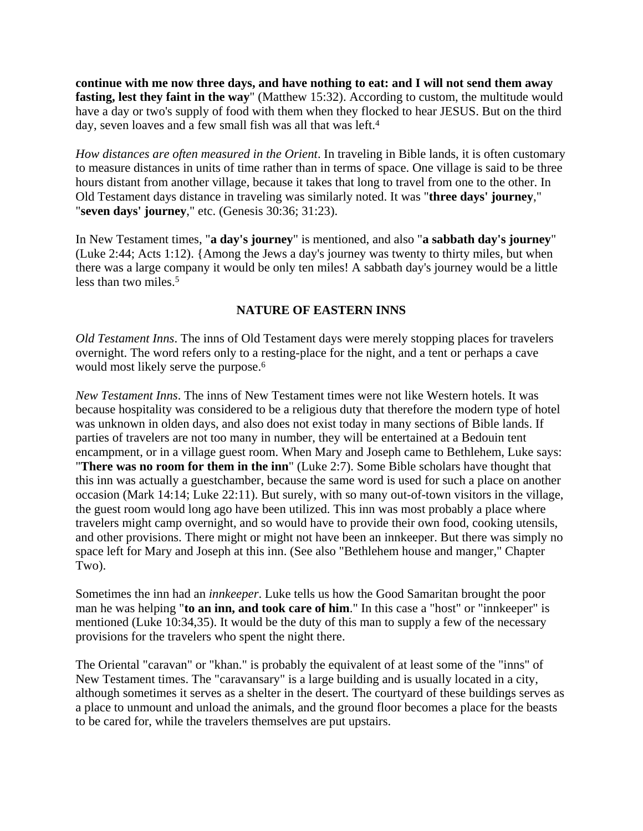**continue with me now three days, and have nothing to eat: and I will not send them away fasting, lest they faint in the way**" (Matthew 15:32). According to custom, the multitude would have a day or two's supply of food with them when they flocked to hear JESUS. But on the third day, seven loaves and a few small fish was all that was left.<sup>4</sup>

*How distances are often measured in the Orient*. In traveling in Bible lands, it is often customary to measure distances in units of time rather than in terms of space. One village is said to be three hours distant from another village, because it takes that long to travel from one to the other. In Old Testament days distance in traveling was similarly noted. It was "**three days' journey**," "**seven days' journey**," etc. (Genesis 30:36; 31:23).

In New Testament times, "**a day's journey**" is mentioned, and also "**a sabbath day's journey**" (Luke 2:44; Acts 1:12). {Among the Jews a day's journey was twenty to thirty miles, but when there was a large company it would be only ten miles! A sabbath day's journey would be a little less than two miles.5

## **NATURE OF EASTERN INNS**

*Old Testament Inns*. The inns of Old Testament days were merely stopping places for travelers overnight. The word refers only to a resting-place for the night, and a tent or perhaps a cave would most likely serve the purpose.<sup>6</sup>

*New Testament Inns*. The inns of New Testament times were not like Western hotels. It was because hospitality was considered to be a religious duty that therefore the modern type of hotel was unknown in olden days, and also does not exist today in many sections of Bible lands. If parties of travelers are not too many in number, they will be entertained at a Bedouin tent encampment, or in a village guest room. When Mary and Joseph came to Bethlehem, Luke says: "**There was no room for them in the inn**" (Luke 2:7). Some Bible scholars have thought that this inn was actually a guestchamber, because the same word is used for such a place on another occasion (Mark 14:14; Luke 22:11). But surely, with so many out-of-town visitors in the village, the guest room would long ago have been utilized. This inn was most probably a place where travelers might camp overnight, and so would have to provide their own food, cooking utensils, and other provisions. There might or might not have been an innkeeper. But there was simply no space left for Mary and Joseph at this inn. (See also "Bethlehem house and manger," Chapter Two).

Sometimes the inn had an *innkeeper*. Luke tells us how the Good Samaritan brought the poor man he was helping "**to an inn, and took care of him**." In this case a "host" or "innkeeper" is mentioned (Luke 10:34,35). It would be the duty of this man to supply a few of the necessary provisions for the travelers who spent the night there.

The Oriental "caravan" or "khan." is probably the equivalent of at least some of the "inns" of New Testament times. The "caravansary" is a large building and is usually located in a city, although sometimes it serves as a shelter in the desert. The courtyard of these buildings serves as a place to unmount and unload the animals, and the ground floor becomes a place for the beasts to be cared for, while the travelers themselves are put upstairs.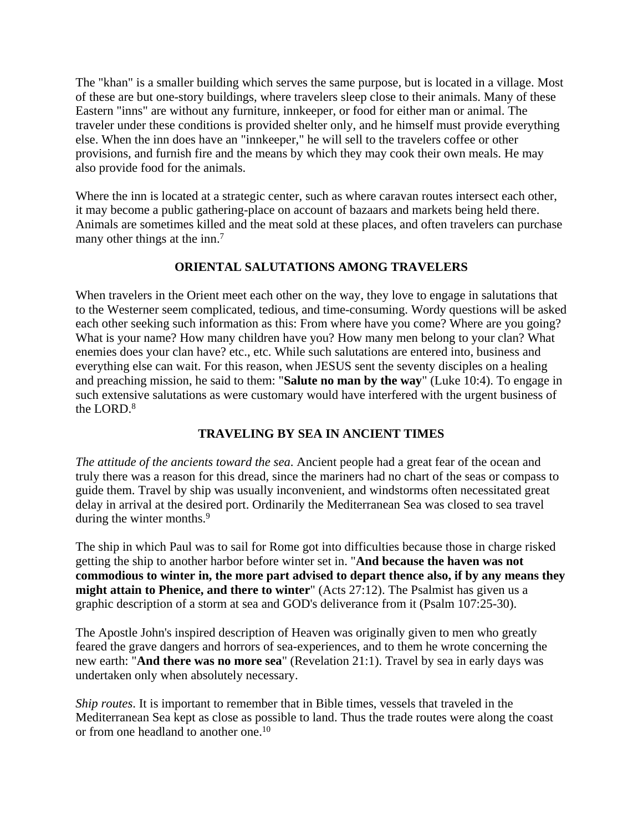The "khan" is a smaller building which serves the same purpose, but is located in a village. Most of these are but one-story buildings, where travelers sleep close to their animals. Many of these Eastern "inns" are without any furniture, innkeeper, or food for either man or animal. The traveler under these conditions is provided shelter only, and he himself must provide everything else. When the inn does have an "innkeeper," he will sell to the travelers coffee or other provisions, and furnish fire and the means by which they may cook their own meals. He may also provide food for the animals.

Where the inn is located at a strategic center, such as where caravan routes intersect each other, it may become a public gathering-place on account of bazaars and markets being held there. Animals are sometimes killed and the meat sold at these places, and often travelers can purchase many other things at the inn.<sup>7</sup>

## **ORIENTAL SALUTATIONS AMONG TRAVELERS**

When travelers in the Orient meet each other on the way, they love to engage in salutations that to the Westerner seem complicated, tedious, and time-consuming. Wordy questions will be asked each other seeking such information as this: From where have you come? Where are you going? What is your name? How many children have you? How many men belong to your clan? What enemies does your clan have? etc., etc. While such salutations are entered into, business and everything else can wait. For this reason, when JESUS sent the seventy disciples on a healing and preaching mission, he said to them: "**Salute no man by the way**" (Luke 10:4). To engage in such extensive salutations as were customary would have interfered with the urgent business of the LORD.<sup>8</sup>

# **TRAVELING BY SEA IN ANCIENT TIMES**

*The attitude of the ancients toward the sea*. Ancient people had a great fear of the ocean and truly there was a reason for this dread, since the mariners had no chart of the seas or compass to guide them. Travel by ship was usually inconvenient, and windstorms often necessitated great delay in arrival at the desired port. Ordinarily the Mediterranean Sea was closed to sea travel during the winter months.<sup>9</sup>

The ship in which Paul was to sail for Rome got into difficulties because those in charge risked getting the ship to another harbor before winter set in. "**And because the haven was not commodious to winter in, the more part advised to depart thence also, if by any means they might attain to Phenice, and there to winter**" (Acts 27:12). The Psalmist has given us a graphic description of a storm at sea and GOD's deliverance from it (Psalm 107:25-30).

The Apostle John's inspired description of Heaven was originally given to men who greatly feared the grave dangers and horrors of sea-experiences, and to them he wrote concerning the new earth: "**And there was no more sea**" (Revelation 21:1). Travel by sea in early days was undertaken only when absolutely necessary.

*Ship routes*. It is important to remember that in Bible times, vessels that traveled in the Mediterranean Sea kept as close as possible to land. Thus the trade routes were along the coast or from one headland to another one.10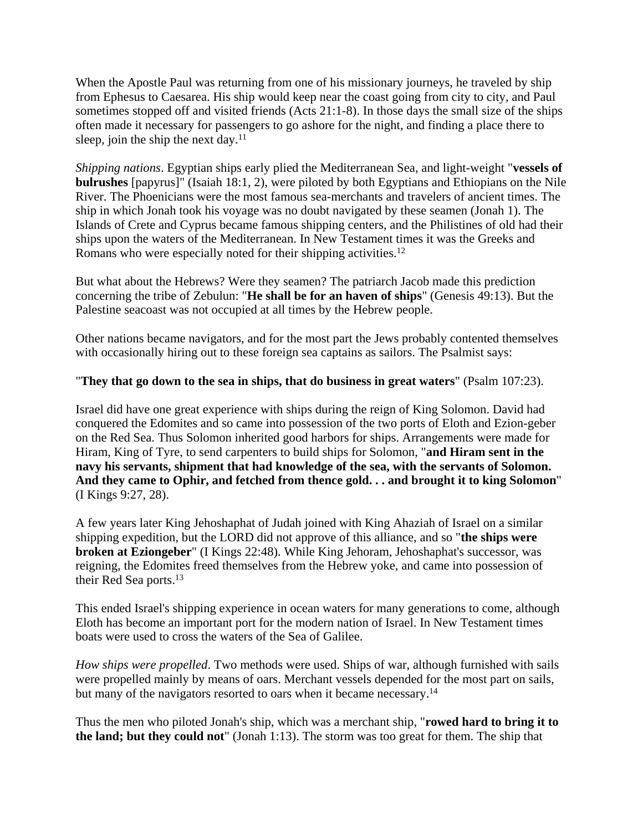When the Apostle Paul was returning from one of his missionary journeys, he traveled by ship from Ephesus to Caesarea. His ship would keep near the coast going from city to city, and Paul sometimes stopped off and visited friends (Acts 21:1-8). In those days the small size of the ships often made it necessary for passengers to go ashore for the night, and finding a place there to sleep, join the ship the next day. $11$ 

*Shipping nations*. Egyptian ships early plied the Mediterranean Sea, and light-weight "**vessels of bulrushes** [papyrus]" (Isaiah 18:1, 2), were piloted by both Egyptians and Ethiopians on the Nile River. The Phoenicians were the most famous sea-merchants and travelers of ancient times. The ship in which Jonah took his voyage was no doubt navigated by these seamen (Jonah 1). The Islands of Crete and Cyprus became famous shipping centers, and the Philistines of old had their ships upon the waters of the Mediterranean. In New Testament times it was the Greeks and Romans who were especially noted for their shipping activities.12

But what about the Hebrews? Were they seamen? The patriarch Jacob made this prediction concerning the tribe of Zebulun: "**He shall be for an haven of ships**" (Genesis 49:13). But the Palestine seacoast was not occupied at all times by the Hebrew people.

Other nations became navigators, and for the most part the Jews probably contented themselves with occasionally hiring out to these foreign sea captains as sailors. The Psalmist says:

## "**They that go down to the sea in ships, that do business in great waters**" (Psalm 107:23).

Israel did have one great experience with ships during the reign of King Solomon. David had conquered the Edomites and so came into possession of the two ports of Eloth and Ezion-geber on the Red Sea. Thus Solomon inherited good harbors for ships. Arrangements were made for Hiram, King of Tyre, to send carpenters to build ships for Solomon, "**and Hiram sent in the navy his servants, shipment that had knowledge of the sea, with the servants of Solomon. And they came to Ophir, and fetched from thence gold. . . and brought it to king Solomon**" (I Kings 9:27, 28).

A few years later King Jehoshaphat of Judah joined with King Ahaziah of Israel on a similar shipping expedition, but the LORD did not approve of this alliance, and so "**the ships were broken at Eziongeber**" (I Kings 22:48). While King Jehoram, Jehoshaphat's successor, was reigning, the Edomites freed themselves from the Hebrew yoke, and came into possession of their Red Sea ports.13

This ended Israel's shipping experience in ocean waters for many generations to come, although Eloth has become an important port for the modern nation of Israel. In New Testament times boats were used to cross the waters of the Sea of Galilee.

*How ships were propelled*. Two methods were used. Ships of war, although furnished with sails were propelled mainly by means of oars. Merchant vessels depended for the most part on sails, but many of the navigators resorted to oars when it became necessary.<sup>14</sup>

Thus the men who piloted Jonah's ship, which was a merchant ship, "**rowed hard to bring it to the land; but they could not**" (Jonah 1:13). The storm was too great for them. The ship that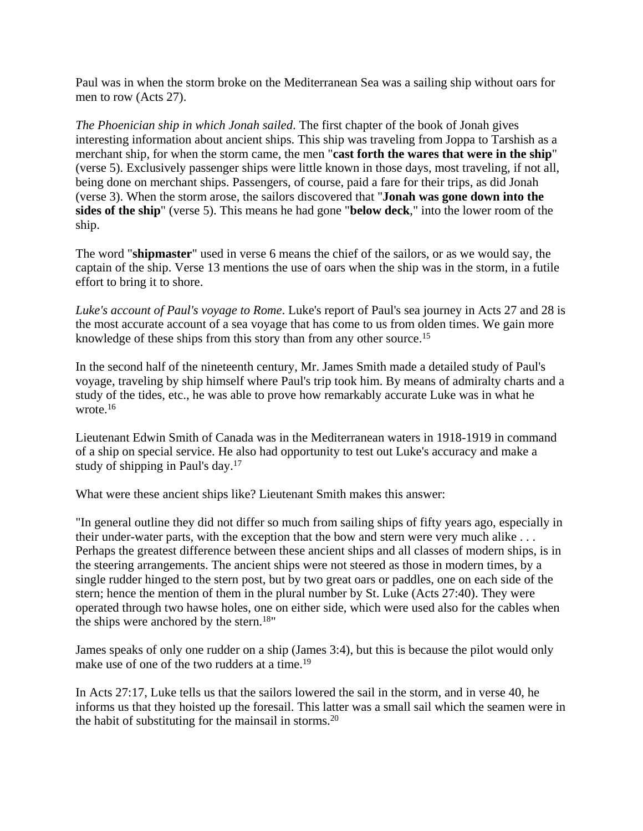Paul was in when the storm broke on the Mediterranean Sea was a sailing ship without oars for men to row (Acts 27).

*The Phoenician ship in which Jonah sailed*. The first chapter of the book of Jonah gives interesting information about ancient ships. This ship was traveling from Joppa to Tarshish as a merchant ship, for when the storm came, the men "**cast forth the wares that were in the ship**" (verse 5). Exclusively passenger ships were little known in those days, most traveling, if not all, being done on merchant ships. Passengers, of course, paid a fare for their trips, as did Jonah (verse 3). When the storm arose, the sailors discovered that "**Jonah was gone down into the sides of the ship**" (verse 5). This means he had gone "**below deck**," into the lower room of the ship.

The word "**shipmaster**" used in verse 6 means the chief of the sailors, or as we would say, the captain of the ship. Verse 13 mentions the use of oars when the ship was in the storm, in a futile effort to bring it to shore.

*Luke's account of Paul's voyage to Rome*. Luke's report of Paul's sea journey in Acts 27 and 28 is the most accurate account of a sea voyage that has come to us from olden times. We gain more knowledge of these ships from this story than from any other source.15

In the second half of the nineteenth century, Mr. James Smith made a detailed study of Paul's voyage, traveling by ship himself where Paul's trip took him. By means of admiralty charts and a study of the tides, etc., he was able to prove how remarkably accurate Luke was in what he wrote.<sup>16</sup>

Lieutenant Edwin Smith of Canada was in the Mediterranean waters in 1918-1919 in command of a ship on special service. He also had opportunity to test out Luke's accuracy and make a study of shipping in Paul's day.17

What were these ancient ships like? Lieutenant Smith makes this answer:

"In general outline they did not differ so much from sailing ships of fifty years ago, especially in their under-water parts, with the exception that the bow and stern were very much alike ... Perhaps the greatest difference between these ancient ships and all classes of modern ships, is in the steering arrangements. The ancient ships were not steered as those in modern times, by a single rudder hinged to the stern post, but by two great oars or paddles, one on each side of the stern; hence the mention of them in the plural number by St. Luke (Acts 27:40). They were operated through two hawse holes, one on either side, which were used also for the cables when the ships were anchored by the stern.<sup>18"</sup>

James speaks of only one rudder on a ship (James 3:4), but this is because the pilot would only make use of one of the two rudders at a time.<sup>19</sup>

In Acts 27:17, Luke tells us that the sailors lowered the sail in the storm, and in verse 40, he informs us that they hoisted up the foresail. This latter was a small sail which the seamen were in the habit of substituting for the mainsail in storms.20